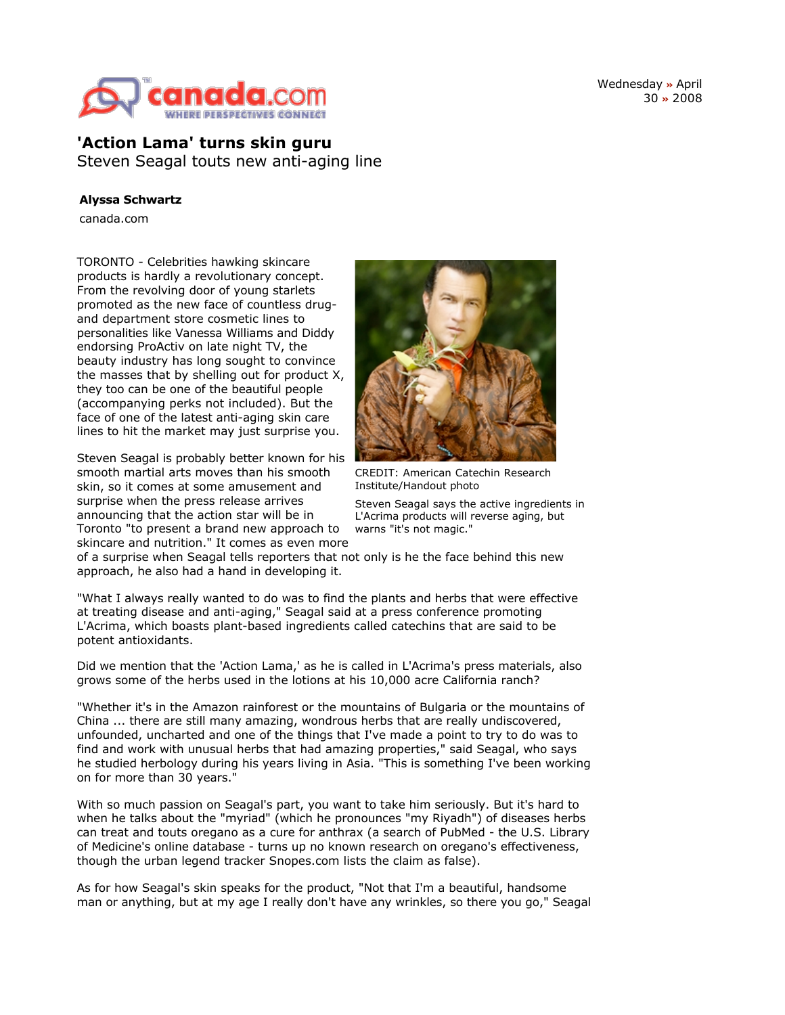

Wednesday **»** April 30 **»** 2008

**'Action Lama' turns skin guru** Steven Seagal touts new anti-aging line

## **Alyssa Schwartz**

canada.com

TORONTO - Celebrities hawking skincare products is hardly a revolutionary concept. From the revolving door of young starlets promoted as the new face of countless drugand department store cosmetic lines to personalities like Vanessa Williams and Diddy endorsing ProActiv on late night TV, the beauty industry has long sought to convince the masses that by shelling out for product X, they too can be one of the beautiful people (accompanying perks not included). But the face of one of the latest anti-aging skin care lines to hit the market may just surprise you.

Steven Seagal is probably better known for his smooth martial arts moves than his smooth skin, so it comes at some amusement and surprise when the press release arrives announcing that the action star will be in Toronto "to present a brand new approach to skincare and nutrition." It comes as even more



CREDIT: American Catechin Research Institute/Handout photo

Steven Seagal says the active ingredients in L'Acrima products will reverse aging, but warns "it's not magic."

of a surprise when Seagal tells reporters that not only is he the face behind this new approach, he also had a hand in developing it.

"What I always really wanted to do was to find the plants and herbs that were effective at treating disease and anti-aging," Seagal said at a press conference promoting L'Acrima, which boasts plant-based ingredients called catechins that are said to be potent antioxidants.

Did we mention that the 'Action Lama,' as he is called in L'Acrima's press materials, also grows some of the herbs used in the lotions at his 10,000 acre California ranch?

"Whether it's in the Amazon rainforest or the mountains of Bulgaria or the mountains of China ... there are still many amazing, wondrous herbs that are really undiscovered, unfounded, uncharted and one of the things that I've made a point to try to do was to find and work with unusual herbs that had amazing properties," said Seagal, who says he studied herbology during his years living in Asia. "This is something I've been working on for more than 30 years."

With so much passion on Seagal's part, you want to take him seriously. But it's hard to when he talks about the "myriad" (which he pronounces "my Riyadh") of diseases herbs can treat and touts oregano as a cure for anthrax (a search of PubMed - the U.S. Library of Medicine's online database - turns up no known research on oregano's effectiveness, though the urban legend tracker Snopes.com lists the claim as false).

As for how Seagal's skin speaks for the product, "Not that I'm a beautiful, handsome man or anything, but at my age I really don't have any wrinkles, so there you go," Seagal